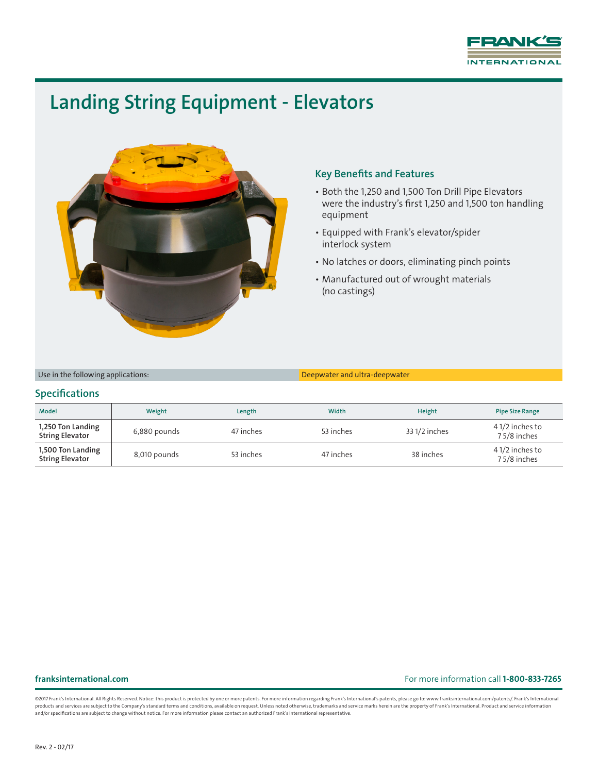

# Landing String Equipment - Elevators



## Key Benefits and Features

- Both the 1,250 and 1,500 Ton Drill Pipe Elevators were the industry's first 1,250 and 1,500 ton handling equipment
- Equipped with Frank's elevator/spider interlock system
- No latches or doors, eliminating pinch points
- Manufactured out of wrought materials (no castings)

Use in the following applications: Deepwater and ultra-deepwater

### **Specifications**

| <b>Model</b>                                | Weight       | Length    | Width     | Height        | <b>Pipe Size Range</b>        |
|---------------------------------------------|--------------|-----------|-----------|---------------|-------------------------------|
| 1,250 Ton Landing<br><b>String Elevator</b> | 6,880 pounds | 47 inches | 53 inches | 33 1/2 inches | 41/2 inches to<br>75/8 inches |
| 1,500 Ton Landing<br><b>String Elevator</b> | 8,010 pounds | 53 inches | 47 inches | 38 inches     | 41/2 inches to<br>75/8 inches |

### franksinternational.com For more information call 1-800-833-7265

@2017 Frank's International. All Rights Reserved. Notice: this product is protected by one or more patents. For more information regarding Frank's International's patents, please go to: www.franksinternational.com/patents/ products and services are subject to the Company's standard terms and conditions, available on request. Unless noted otherwise, trademarks and service marks herein are the property of Frank's International. Product and ser and/or specifications are subject to change without notice. For more information please contact an authorized Frank's International representative.